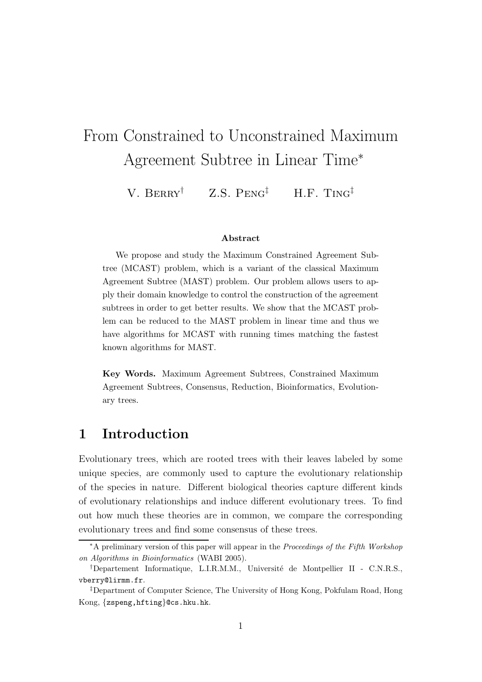# From Constrained to Unconstrained Maximum Agreement Subtree in Linear Time<sup>∗</sup>

V. BERRY<sup>†</sup> Z.S. PENG<sup>‡</sup> H.F. TING<sup>‡</sup>

#### Abstract

We propose and study the Maximum Constrained Agreement Subtree (MCAST) problem, which is a variant of the classical Maximum Agreement Subtree (MAST) problem. Our problem allows users to apply their domain knowledge to control the construction of the agreement subtrees in order to get better results. We show that the MCAST problem can be reduced to the MAST problem in linear time and thus we have algorithms for MCAST with running times matching the fastest known algorithms for MAST.

Key Words. Maximum Agreement Subtrees, Constrained Maximum Agreement Subtrees, Consensus, Reduction, Bioinformatics, Evolutionary trees.

## 1 Introduction

Evolutionary trees, which are rooted trees with their leaves labeled by some unique species, are commonly used to capture the evolutionary relationship of the species in nature. Different biological theories capture different kinds of evolutionary relationships and induce different evolutionary trees. To find out how much these theories are in common, we compare the corresponding evolutionary trees and find some consensus of these trees.

<sup>∗</sup>A preliminary version of this paper will appear in the Proceedings of the Fifth Workshop on Algorithms in Bioinformatics (WABI 2005).

 $^\dagger$ Departement Informatique, L.I.R.M.M., Université de Montpellier II - C.N.R.S., vberry@lirmm.fr.

<sup>‡</sup>Department of Computer Science, The University of Hong Kong, Pokfulam Road, Hong Kong, {zspeng,hfting}@cs.hku.hk.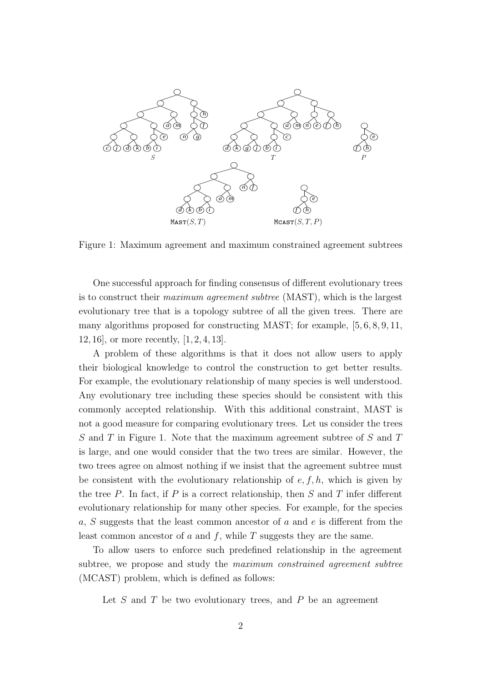

Figure 1: Maximum agreement and maximum constrained agreement subtrees

One successful approach for finding consensus of different evolutionary trees is to construct their *maximum agreement subtree* (MAST), which is the largest evolutionary tree that is a topology subtree of all the given trees. There are many algorithms proposed for constructing MAST; for example, [5, 6, 8, 9, 11, 12, 16], or more recently, [1, 2, 4, 13].

A problem of these algorithms is that it does not allow users to apply their biological knowledge to control the construction to get better results. For example, the evolutionary relationship of many species is well understood. Any evolutionary tree including these species should be consistent with this commonly accepted relationship. With this additional constraint, MAST is not a good measure for comparing evolutionary trees. Let us consider the trees S and T in Figure 1. Note that the maximum agreement subtree of S and T is large, and one would consider that the two trees are similar. However, the two trees agree on almost nothing if we insist that the agreement subtree must be consistent with the evolutionary relationship of  $e, f, h$ , which is given by the tree  $P$ . In fact, if  $P$  is a correct relationship, then  $S$  and  $T$  infer different evolutionary relationship for many other species. For example, for the species a, S suggests that the least common ancestor of a and  $e$  is different from the least common ancestor of a and  $f$ , while  $T$  suggests they are the same.

To allow users to enforce such predefined relationship in the agreement subtree, we propose and study the *maximum constrained agreement subtree* (MCAST) problem, which is defined as follows:

Let  $S$  and  $T$  be two evolutionary trees, and  $P$  be an agreement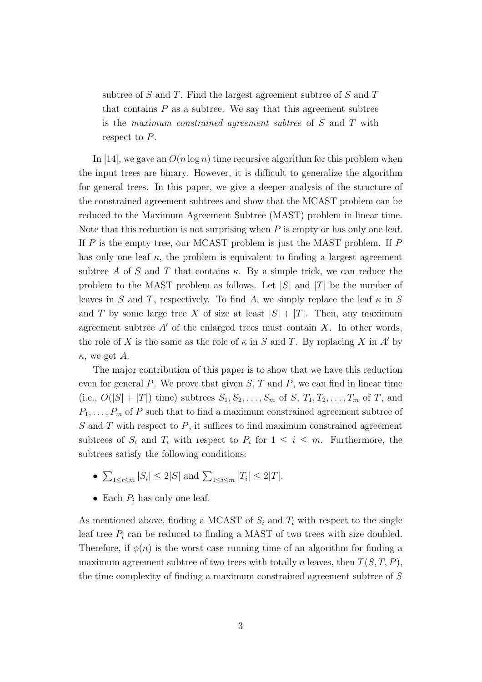subtree of  $S$  and  $T$ . Find the largest agreement subtree of  $S$  and  $T$ that contains  $P$  as a subtree. We say that this agreement subtree is the maximum constrained agreement subtree of S and T with respect to P.

In [14], we gave an  $O(n \log n)$  time recursive algorithm for this problem when the input trees are binary. However, it is difficult to generalize the algorithm for general trees. In this paper, we give a deeper analysis of the structure of the constrained agreement subtrees and show that the MCAST problem can be reduced to the Maximum Agreement Subtree (MAST) problem in linear time. Note that this reduction is not surprising when  $P$  is empty or has only one leaf. If  $P$  is the empty tree, our MCAST problem is just the MAST problem. If  $P$ has only one leaf  $\kappa$ , the problem is equivalent to finding a largest agreement subtree A of S and T that contains  $\kappa$ . By a simple trick, we can reduce the problem to the MAST problem as follows. Let  $|S|$  and  $|T|$  be the number of leaves in S and T, respectively. To find A, we simply replace the leaf  $\kappa$  in S and T by some large tree X of size at least  $|S| + |T|$ . Then, any maximum agreement subtree  $A'$  of the enlarged trees must contain X. In other words, the role of X is the same as the role of  $\kappa$  in S and T. By replacing X in A' by  $\kappa$ , we get A.

The major contribution of this paper is to show that we have this reduction even for general  $P$ . We prove that given  $S$ ,  $T$  and  $P$ , we can find in linear time (i.e.,  $O(|S| + |T|)$  time) subtrees  $S_1, S_2, \ldots, S_m$  of  $S, T_1, T_2, \ldots, T_m$  of  $T$ , and  $P_1, \ldots, P_m$  of P such that to find a maximum constrained agreement subtree of  $S$  and  $T$  with respect to  $P$ , it suffices to find maximum constrained agreement subtrees of  $S_i$  and  $T_i$  with respect to  $P_i$  for  $1 \leq i \leq m$ . Furthermore, the subtrees satisfy the following conditions:

- $\sum_{1 \le i \le m} |S_i| \le 2|S|$  and  $\sum_{1 \le i \le m} |T_i| \le 2|T|$ .
- Each  $P_i$  has only one leaf.

As mentioned above, finding a MCAST of  $S_i$  and  $T_i$  with respect to the single leaf tree  $P_i$  can be reduced to finding a MAST of two trees with size doubled. Therefore, if  $\phi(n)$  is the worst case running time of an algorithm for finding a maximum agreement subtree of two trees with totally n leaves, then  $T(S, T, P)$ , the time complexity of finding a maximum constrained agreement subtree of S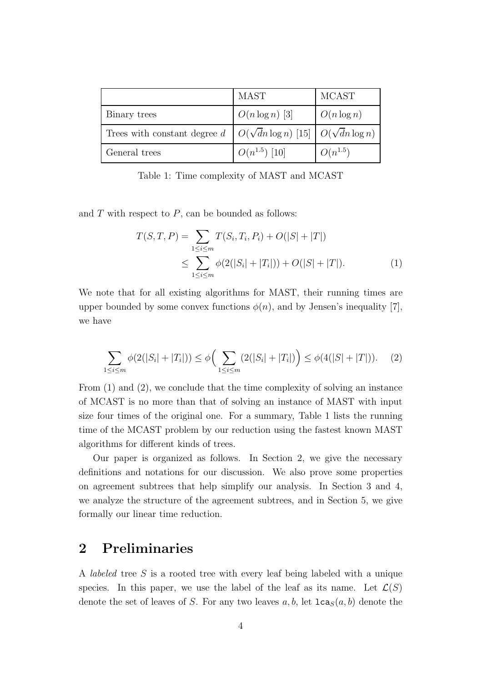|                                                                                         | <b>MAST</b>       | <b>MCAST</b>  |
|-----------------------------------------------------------------------------------------|-------------------|---------------|
| Binary trees                                                                            | $O(n \log n)$ [3] | $O(n \log n)$ |
| Trees with constant degree $d \mid O(\sqrt{d}n \log n)$ [15] $\mid O(\sqrt{d}n \log n)$ |                   |               |
| General trees                                                                           | $O(n^{1.5})$ [10] | $O(n^{1.5})$  |

Table 1: Time complexity of MAST and MCAST

and  $T$  with respect to  $P$ , can be bounded as follows:

$$
T(S,T,P) = \sum_{1 \le i \le m} T(S_i, T_i, P_i) + O(|S| + |T|)
$$
  

$$
\le \sum_{1 \le i \le m} \phi(2(|S_i| + |T_i|)) + O(|S| + |T|). \tag{1}
$$

We note that for all existing algorithms for MAST, their running times are upper bounded by some convex functions  $\phi(n)$ , and by Jensen's inequality [7], we have

$$
\sum_{1 \le i \le m} \phi(2(|S_i| + |T_i|)) \le \phi\Big(\sum_{1 \le i \le m} (2(|S_i| + |T_i|)) \Big) \le \phi(4(|S| + |T|)). \tag{2}
$$

From (1) and (2), we conclude that the time complexity of solving an instance of MCAST is no more than that of solving an instance of MAST with input size four times of the original one. For a summary, Table 1 lists the running time of the MCAST problem by our reduction using the fastest known MAST algorithms for different kinds of trees.

Our paper is organized as follows. In Section 2, we give the necessary definitions and notations for our discussion. We also prove some properties on agreement subtrees that help simplify our analysis. In Section 3 and 4, we analyze the structure of the agreement subtrees, and in Section 5, we give formally our linear time reduction.

### 2 Preliminaries

A labeled tree S is a rooted tree with every leaf being labeled with a unique species. In this paper, we use the label of the leaf as its name. Let  $\mathcal{L}(S)$ denote the set of leaves of S. For any two leaves  $a, b$ , let  $lca_S(a, b)$  denote the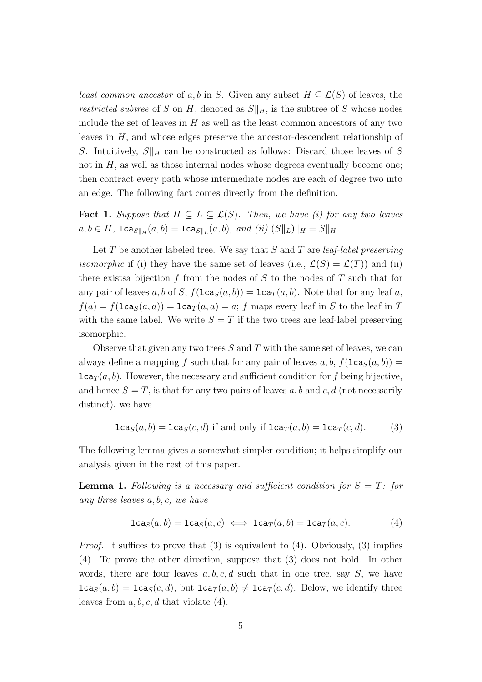least common ancestor of a, b in S. Given any subset  $H \subseteq \mathcal{L}(S)$  of leaves, the restricted subtree of S on H, denoted as  $S||_H$ , is the subtree of S whose nodes include the set of leaves in  $H$  as well as the least common ancestors of any two leaves in H, and whose edges preserve the ancestor-descendent relationship of S. Intuitively,  $S||_H$  can be constructed as follows: Discard those leaves of S not in  $H$ , as well as those internal nodes whose degrees eventually become one; then contract every path whose intermediate nodes are each of degree two into an edge. The following fact comes directly from the definition.

**Fact 1.** Suppose that  $H \subseteq L \subseteq \mathcal{L}(S)$ . Then, we have (i) for any two leaves  $a, b \in H$ ,  $lca_{S||_H}(a, b) = lca_{S||_L}(a, b)$ , and (ii)  $(S||_L)||_H = S||_H$ .

Let  $T$  be another labeled tree. We say that  $S$  and  $T$  are *leaf-label preserving isomorphic* if (i) they have the same set of leaves (i.e.,  $\mathcal{L}(S) = \mathcal{L}(T)$ ) and (ii) there exists a bijection f from the nodes of S to the nodes of T such that for any pair of leaves a, b of S,  $f(\text{lca}_S(a, b)) = \text{lca}_T(a, b)$ . Note that for any leaf a,  $f(a) = f(\text{lca}_S(a, a)) = \text{lca}_T(a, a) = a$ ; f maps every leaf in S to the leaf in T with the same label. We write  $S = T$  if the two trees are leaf-label preserving isomorphic.

Observe that given any two trees  $S$  and  $T$  with the same set of leaves, we can always define a mapping f such that for any pair of leaves  $a, b, f(\text{lca}_S(a, b)) =$  $lca<sub>T</sub>(a, b)$ . However, the necessary and sufficient condition for f being bijective, and hence  $S = T$ , is that for any two pairs of leaves a, b and c, d (not necessarily distinct), we have

$$
lcaS(a, b) = lcaS(c, d) if and only if lcaT(a, b) = lcaT(c, d).
$$
 (3)

The following lemma gives a somewhat simpler condition; it helps simplify our analysis given in the rest of this paper.

**Lemma 1.** Following is a necessary and sufficient condition for  $S = T$ : for any three leaves a, b, c, we have

$$
\texttt{lca}_S(a,b) = \texttt{lca}_S(a,c) \iff \texttt{lca}_T(a,b) = \texttt{lca}_T(a,c). \tag{4}
$$

*Proof.* It suffices to prove that  $(3)$  is equivalent to  $(4)$ . Obviously,  $(3)$  implies (4). To prove the other direction, suppose that (3) does not hold. In other words, there are four leaves  $a, b, c, d$  such that in one tree, say S, we have  $lca_S(a, b) = lca_S(c, d)$ , but  $lca_T(a, b) \neq lca_T(c, d)$ . Below, we identify three leaves from  $a, b, c, d$  that violate  $(4)$ .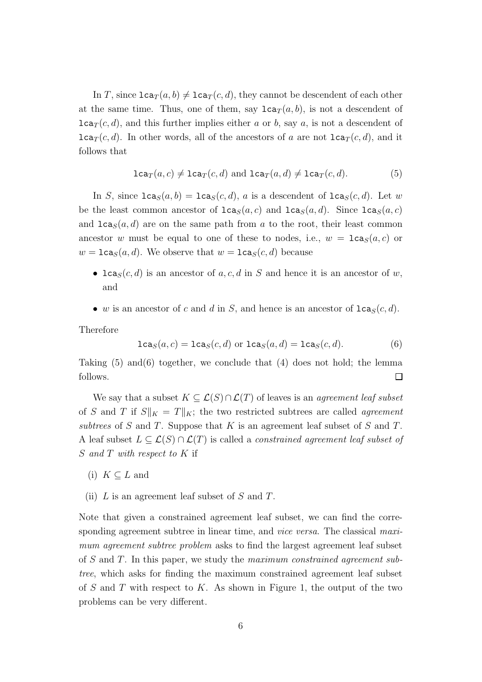In T, since  $lca_T(a, b) \neq lca_T(c, d)$ , they cannot be descendent of each other at the same time. Thus, one of them, say  $lca_T(a, b)$ , is not a descendent of  $lca_T(c, d)$ , and this further implies either a or b, say a, is not a descendent of  $lca_T(c, d)$ . In other words, all of the ancestors of a are not  $lca_T(c, d)$ , and it follows that

$$
\texttt{lca}_{T}(a,c) \neq \texttt{lca}_{T}(c,d) \text{ and } \texttt{lca}_{T}(a,d) \neq \texttt{lca}_{T}(c,d). \tag{5}
$$

In S, since  $lca_S(a, b) = lca_S(c, d)$ , a is a descendent of  $lca_S(c, d)$ . Let w be the least common ancestor of  $lca_S(a, c)$  and  $lca_S(a, d)$ . Since  $lca_S(a, c)$ and  $lca<sub>S</sub>(a, d)$  are on the same path from a to the root, their least common ancestor w must be equal to one of these to nodes, i.e.,  $w = \texttt{lca}_{S}(a, c)$  or  $w = \text{lca}_S(a, d)$ . We observe that  $w = \text{lca}_S(c, d)$  because

- lca<sub>S</sub> $(c, d)$  is an ancestor of a, c, d in S and hence it is an ancestor of w, and
- w is an ancestor of c and d in S, and hence is an ancestor of  $lca_S(c, d)$ .

Therefore

$$
lcaS(a, c) = lcaS(c, d) or lcaS(a, d) = lcaS(c, d).
$$
 (6)

Taking  $(5)$  and  $(6)$  together, we conclude that  $(4)$  does not hold; the lemma follows.  $\Box$ 

We say that a subset  $K \subseteq \mathcal{L}(S) \cap \mathcal{L}(T)$  of leaves is an *agreement leaf subset* of S and T if  $S||_K = T||_K$ ; the two restricted subtrees are called *agreement* subtrees of S and T. Suppose that K is an agreement leaf subset of S and T. A leaf subset  $L \subseteq \mathcal{L}(S) \cap \mathcal{L}(T)$  is called a *constrained agreement leaf subset of* S and T with respect to K if

- (i)  $K \subset L$  and
- (ii)  $L$  is an agreement leaf subset of  $S$  and  $T$ .

Note that given a constrained agreement leaf subset, we can find the corresponding agreement subtree in linear time, and *vice versa*. The classical maximum agreement subtree problem asks to find the largest agreement leaf subset of S and T. In this paper, we study the maximum constrained agreement subtree, which asks for finding the maximum constrained agreement leaf subset of  $S$  and  $T$  with respect to  $K$ . As shown in Figure 1, the output of the two problems can be very different.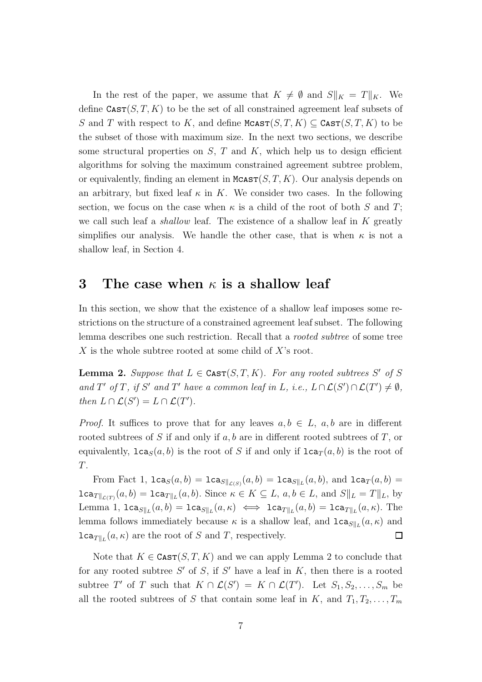In the rest of the paper, we assume that  $K \neq \emptyset$  and  $S||_K = T||_K$ . We define  $\text{CAST}(S, T, K)$  to be the set of all constrained agreement leaf subsets of S and T with respect to K, and define MCAST $(S, T, K) \subseteq \text{CAST}(S, T, K)$  to be the subset of those with maximum size. In the next two sections, we describe some structural properties on  $S$ ,  $T$  and  $K$ , which help us to design efficient algorithms for solving the maximum constrained agreement subtree problem, or equivalently, finding an element in  $M\text{castr}(S, T, K)$ . Our analysis depends on an arbitrary, but fixed leaf  $\kappa$  in K. We consider two cases. In the following section, we focus on the case when  $\kappa$  is a child of the root of both S and T; we call such leaf a *shallow* leaf. The existence of a shallow leaf in  $K$  greatly simplifies our analysis. We handle the other case, that is when  $\kappa$  is not a shallow leaf, in Section 4.

#### 3 The case when  $\kappa$  is a shallow leaf

In this section, we show that the existence of a shallow leaf imposes some restrictions on the structure of a constrained agreement leaf subset. The following lemma describes one such restriction. Recall that a *rooted subtree* of some tree X is the whole subtree rooted at some child of X's root.

**Lemma 2.** Suppose that  $L \in \text{CAST}(S, T, K)$ . For any rooted subtrees S' of S and T' of T, if S' and T' have a common leaf in L, i.e.,  $L \cap \mathcal{L}(S') \cap \mathcal{L}(T') \neq \emptyset$ , then  $L \cap \mathcal{L}(S') = L \cap \mathcal{L}(T')$ .

*Proof.* It suffices to prove that for any leaves  $a, b \in L$ ,  $a, b$  are in different rooted subtrees of S if and only if  $a, b$  are in different rooted subtrees of T, or equivalently,  $lca_S(a, b)$  is the root of S if and only if  $lca_T(a, b)$  is the root of T.

From Fact 1,  $lca_S(a, b) = lca_{S||_{\mathcal{L}(S)}}(a, b) = lca_{S||_{L}}(a, b)$ , and  $lca_T(a, b) =$  $lca_{T\|_{\mathcal{L}(T)}}(a,b) = \text{lca}_{T\|_{L}}(a,b)$ . Since  $\kappa \in K \subseteq L$ ,  $a,b \in L$ , and  $S\|_{L} = T\|_{L}$ , by Lemma 1,  $lca_{S||_L}(a, b) = lca_{S||_L}(a, \kappa) \iff lca_{T||_L}(a, b) = lca_{T||_L}(a, \kappa)$ . The lemma follows immediately because  $\kappa$  is a shallow leaf, and  $lca_{S||_L}(a, \kappa)$  and  $lca_{T||_L}(a, \kappa)$  are the root of S and T, respectively.  $\Box$ 

Note that  $K \in \text{CAST}(S, T, K)$  and we can apply Lemma 2 to conclude that for any rooted subtree  $S'$  of  $S$ , if  $S'$  have a leaf in  $K$ , then there is a rooted subtree T' of T such that  $K \cap \mathcal{L}(S') = K \cap \mathcal{L}(T')$ . Let  $S_1, S_2, \ldots, S_m$  be all the rooted subtrees of S that contain some leaf in K, and  $T_1, T_2, \ldots, T_m$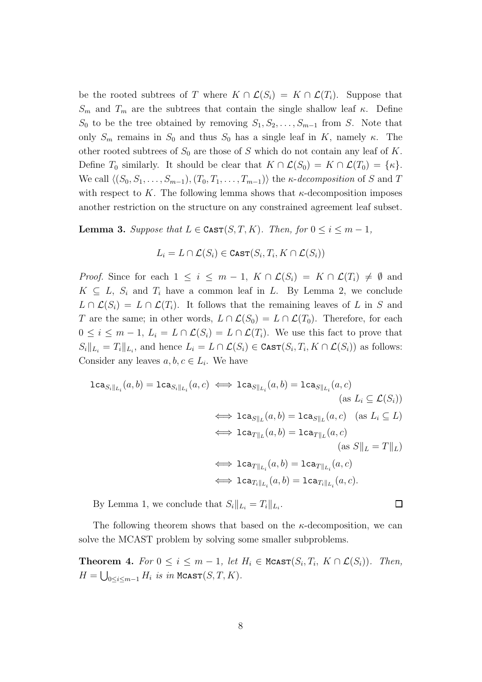be the rooted subtrees of T where  $K \cap \mathcal{L}(S_i) = K \cap \mathcal{L}(T_i)$ . Suppose that  $S_m$  and  $T_m$  are the subtrees that contain the single shallow leaf κ. Define  $S_0$  to be the tree obtained by removing  $S_1, S_2, \ldots, S_{m-1}$  from S. Note that only  $S_m$  remains in  $S_0$  and thus  $S_0$  has a single leaf in K, namely  $\kappa$ . The other rooted subtrees of  $S_0$  are those of S which do not contain any leaf of K. Define  $T_0$  similarly. It should be clear that  $K \cap \mathcal{L}(S_0) = K \cap \mathcal{L}(T_0) = \{\kappa\}.$ We call  $\langle (S_0, S_1, \ldots, S_{m-1}), (T_0, T_1, \ldots, T_{m-1})\rangle$  the  $\kappa$ -decomposition of S and T with respect to K. The following lemma shows that  $\kappa$ -decomposition imposes another restriction on the structure on any constrained agreement leaf subset.

**Lemma 3.** Suppose that  $L \in \text{CAST}(S, T, K)$ . Then, for  $0 \le i \le m - 1$ ,

$$
L_i = L \cap \mathcal{L}(S_i) \in \text{Cast}(S_i, T_i, K \cap \mathcal{L}(S_i))
$$

*Proof.* Since for each  $1 \leq i \leq m-1$ ,  $K \cap \mathcal{L}(S_i) = K \cap \mathcal{L}(T_i) \neq \emptyset$  and  $K \subseteq L$ ,  $S_i$  and  $T_i$  have a common leaf in L. By Lemma 2, we conclude  $L \cap \mathcal{L}(S_i) = L \cap \mathcal{L}(T_i)$ . It follows that the remaining leaves of L in S and T are the same; in other words,  $L \cap \mathcal{L}(S_0) = L \cap \mathcal{L}(T_0)$ . Therefore, for each  $0 \leq i \leq m-1, L_i = L \cap \mathcal{L}(S_i) = L \cap \mathcal{L}(T_i)$ . We use this fact to prove that  $S_i||_{L_i} = T_i||_{L_i}$ , and hence  $L_i = L \cap \mathcal{L}(S_i) \in \text{CAST}(S_i, T_i, K \cap \mathcal{L}(S_i))$  as follows: Consider any leaves  $a, b, c \in L_i$ . We have

$$
\begin{aligned}\n\texttt{lca}_{S_i||_{L_i}}(a,b) &= \texttt{lca}_{S_i||_{L_i}}(a,c) \iff \texttt{lca}_{S||_{L_i}}(a,b) = \texttt{lca}_{S||_{L_i}}(a,c) \\
&\quad \text{(as } L_i \subseteq \mathcal{L}(S_i)) \\
&\iff \texttt{lca}_{S||_L}(a,b) = \texttt{lca}_{S||_L}(a,c) \quad \text{(as } L_i \subseteq L) \\
&\iff \texttt{lca}_{T||_L}(a,b) = \texttt{lca}_{T||_L}(a,c) \\
&\quad \text{(as } S||_L = T||_L) \\
&\iff \texttt{lca}_{T||_{L_i}}(a,b) = \texttt{lca}_{T||_{L_i}}(a,c) \\
&\iff \texttt{lca}_{T_i||_{L_i}}(a,b) = \texttt{lca}_{T_i||_{L_i}}(a,c).\n\end{aligned}
$$

By Lemma 1, we conclude that  $S_i||_{L_i} = T_i||_{L_i}$ .

The following theorem shows that based on the  $\kappa$ -decomposition, we can solve the MCAST problem by solving some smaller subproblems.

**Theorem 4.** For  $0 \le i \le m-1$ , let  $H_i \in \text{McAST}(S_i, T_i, K \cap \mathcal{L}(S_i))$ . Then,  $H = \bigcup_{0 \leq i \leq m-1} H_i$  is in  $MClAST(S, T, K)$ .

```
\Box
```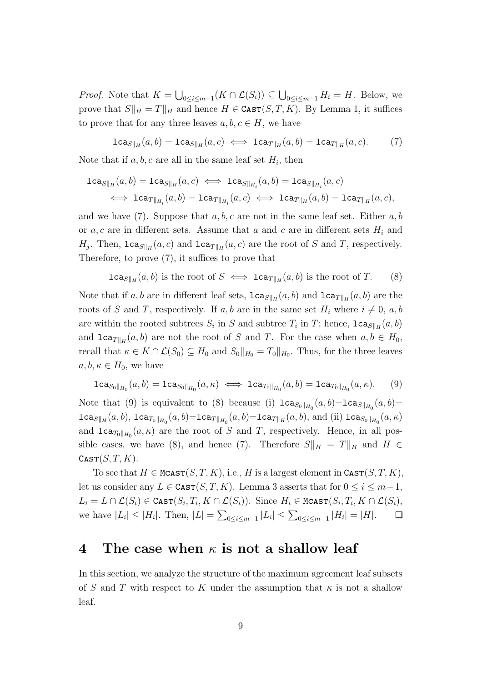*Proof.* Note that  $K = \bigcup_{0 \leq i \leq m-1} (K \cap \mathcal{L}(S_i)) \subseteq \bigcup_{0 \leq i \leq m-1} H_i = H$ . Below, we prove that  $S||_H = T||_H$  and hence  $H \in \text{CAST}(S, T, K)$ . By Lemma 1, it suffices to prove that for any three leaves  $a, b, c \in H$ , we have

$$
\mathtt{lca}_{S\parallel_H}(a,b)=\mathtt{lca}_{S\parallel_H}(a,c)\iff \mathtt{lca}_{T\parallel_H}(a,b)=\mathtt{lca}_{T\parallel_H}(a,c). \hspace{1cm} (7)
$$

Note that if  $a, b, c$  are all in the same leaf set  $H_i$ , then

$$
\begin{aligned} \texttt{lca}_{S\parallel_H}(a,b)=\texttt{lca}_{S\parallel_H}(a,c) &\iff \texttt{lca}_{S\parallel_{H_i}}(a,b)=\texttt{lca}_{S\parallel_{H_i}}(a,c) \\ &\iff \texttt{lca}_{T\parallel_{H_i}}(a,b)=\texttt{lca}_{T\parallel_{H_i}}(a,c) &\iff \texttt{lca}_{T\parallel_H}(a,b)=\texttt{lca}_{T\parallel_H}(a,c), \end{aligned}
$$

and we have (7). Suppose that  $a, b, c$  are not in the same leaf set. Either  $a, b$ or a, c are in different sets. Assume that a and c are in different sets  $H_i$  and  $H_j$ . Then,  $\texttt{lca}_{S||_H}(a, c)$  and  $\texttt{lca}_{T||_H}(a, c)$  are the root of S and T, respectively. Therefore, to prove (7), it suffices to prove that

$$
\texttt{lca}_{S||_H}(a,b) \text{ is the root of } S \iff \texttt{lca}_{T||_H}(a,b) \text{ is the root of } T. \tag{8}
$$

Note that if a, b are in different leaf sets,  $lca_{S||_H}(a, b)$  and  $lca_{T||_H}(a, b)$  are the roots of S and T, respectively. If a, b are in the same set  $H_i$  where  $i \neq 0, a, b$ are within the rooted subtrees  $S_i$  in S and subtree  $T_i$  in T; hence,  $lca_{S||H}(a, b)$ and  $lca_{T\|_H}(a, b)$  are not the root of S and T. For the case when  $a, b \in H_0$ , recall that  $\kappa \in K \cap \mathcal{L}(S_0) \subseteq H_0$  and  $S_0||_{H_0} = T_0||_{H_0}$ . Thus, for the three leaves  $a, b, \kappa \in H_0$ , we have

$$
\text{lca}_{S_0||_{H_0}}(a,b) = \text{lca}_{S_0||_{H_0}}(a,\kappa) \iff \text{lca}_{T_0||_{H_0}}(a,b) = \text{lca}_{T_0||_{H_0}}(a,\kappa). \tag{9}
$$

Note that (9) is equivalent to (8) because (i)  $lca_{S_0||H_0}(a, b) = lca_{S||H_0}(a, b) =$  $\mathtt{lca}_{S\Vert_H}(a,b),\mathtt{lca}_{T_0\Vert_{H_0}}(a,b) = \mathtt{lca}_{T\Vert_{H_0}}(a,b) = \mathtt{lca}_{T\Vert_H}(a,b),\text{ and (ii) } \mathtt{lca}_{S_0\Vert_{H_0}}(a,\kappa)$ and  $lca_{T_0||_{H_0}}(a, \kappa)$  are the root of S and T, respectively. Hence, in all possible cases, we have (8), and hence (7). Therefore  $S||_H = T||_H$  and  $H \in$  $\texttt{CAST}(S, T, K).$ 

To see that  $H \in \text{McAST}(S, T, K)$ , i.e., H is a largest element in  $\text{CarST}(S, T, K)$ , let us consider any  $L \in \text{CAST}(S, T, K)$ . Lemma 3 asserts that for  $0 \le i \le m-1$ ,  $L_i = L \cap \mathcal{L}(S_i) \in \texttt{Cast}(S_i, T_i, K \cap \mathcal{L}(S_i)).$  Since  $H_i \in \texttt{Mcast}(S_i, T_i, K \cap \mathcal{L}(S_i),$ we have  $|L_i| \leq |H_i|$ . Then,  $|L| = \sum_{0 \leq i \leq m-1} |L_i| \leq \sum_{0 \leq i \leq m-1} |H_i| = |H|$ .  $\Box$ 

#### 4 The case when  $\kappa$  is not a shallow leaf

In this section, we analyze the structure of the maximum agreement leaf subsets of S and T with respect to K under the assumption that  $\kappa$  is not a shallow leaf.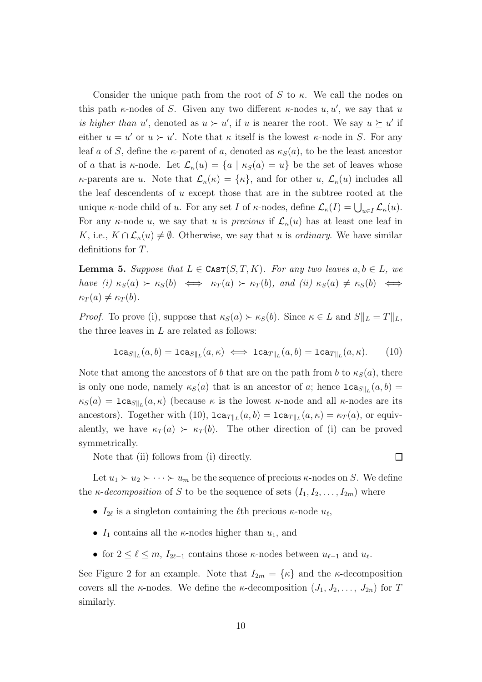Consider the unique path from the root of S to  $\kappa$ . We call the nodes on this path  $\kappa$ -nodes of S. Given any two different  $\kappa$ -nodes  $u, u'$ , we say that u is higher than u', denoted as  $u \succ u'$ , if u is nearer the root. We say  $u \succeq u'$  if either  $u = u'$  or  $u > u'$ . Note that  $\kappa$  itself is the lowest  $\kappa$ -node in S. For any leaf a of S, define the  $\kappa$ -parent of a, denoted as  $\kappa_S(a)$ , to be the least ancestor of a that is  $\kappa$ -node. Let  $\mathcal{L}_{\kappa}(u) = \{a \mid \kappa_S(a) = u\}$  be the set of leaves whose  $\kappa$ -parents are u. Note that  $\mathcal{L}_{\kappa}(\kappa) = {\kappa}$ , and for other u,  $\mathcal{L}_{\kappa}(u)$  includes all the leaf descendents of  $u$  except those that are in the subtree rooted at the unique  $\kappa$ -node child of u. For any set I of  $\kappa$ -nodes, define  $\mathcal{L}_{\kappa}(I) = \bigcup_{u \in I} \mathcal{L}_{\kappa}(u)$ . For any  $\kappa$ -node u, we say that u is precious if  $\mathcal{L}_{\kappa}(u)$  has at least one leaf in K, i.e.,  $K \cap \mathcal{L}_{\kappa}(u) \neq \emptyset$ . Otherwise, we say that u is *ordinary*. We have similar definitions for T.

**Lemma 5.** Suppose that  $L \in \text{CAST}(S, T, K)$ . For any two leaves  $a, b \in L$ , we have (i)  $\kappa_S(a) \succ \kappa_S(b) \iff \kappa_T(a) \succ \kappa_T(b)$ , and (ii)  $\kappa_S(a) \neq \kappa_S(b) \iff$  $\kappa_T(a) \neq \kappa_T(b).$ 

*Proof.* To prove (i), suppose that  $\kappa_S(a) \succ \kappa_S(b)$ . Since  $\kappa \in L$  and  $S||_L = T||_L$ , the three leaves in  $L$  are related as follows:

$$
\mathtt{lca}_{S\|_L}(a,b) = \mathtt{lca}_{S\|_L}(a,\kappa) \iff \mathtt{lca}_{T\|_L}(a,b) = \mathtt{lca}_{T\|_L}(a,\kappa). \tag{10}
$$

Note that among the ancestors of b that are on the path from b to  $\kappa_S(a)$ , there is only one node, namely  $\kappa_S(a)$  that is an ancestor of a; hence  $lca_{S||_L}(a, b) =$  $\kappa_S(a) = \texttt{lca}_{S||_L}(a, \kappa)$  (because  $\kappa$  is the lowest  $\kappa$ -node and all  $\kappa$ -nodes are its ancestors). Together with (10),  $lca_{T||_L}(a, b) = lca_{T||_L}(a, \kappa) = \kappa_T(a)$ , or equivalently, we have  $\kappa_T(a) \succ \kappa_T(b)$ . The other direction of (i) can be proved symmetrically.

Note that (ii) follows from (i) directly.

 $\Box$ 

Let  $u_1 \succ u_2 \succ \cdots \succ u_m$  be the sequence of precious  $\kappa$ -nodes on S. We define the *κ*-decomposition of S to be the sequence of sets  $(I_1, I_2, \ldots, I_{2m})$  where

- $I_{2\ell}$  is a singleton containing the  $\ell$ th precious  $\kappa$ -node  $u_{\ell}$ ,
- $I_1$  contains all the  $\kappa$ -nodes higher than  $u_1$ , and
- for  $2 \leq \ell \leq m$ ,  $I_{2\ell-1}$  contains those  $\kappa$ -nodes between  $u_{\ell-1}$  and  $u_{\ell}$ .

See Figure 2 for an example. Note that  $I_{2m} = {\kappa}$  and the *κ*-decomposition covers all the  $\kappa$ -nodes. We define the  $\kappa$ -decomposition  $(J_1, J_2, \ldots, J_{2n})$  for T similarly.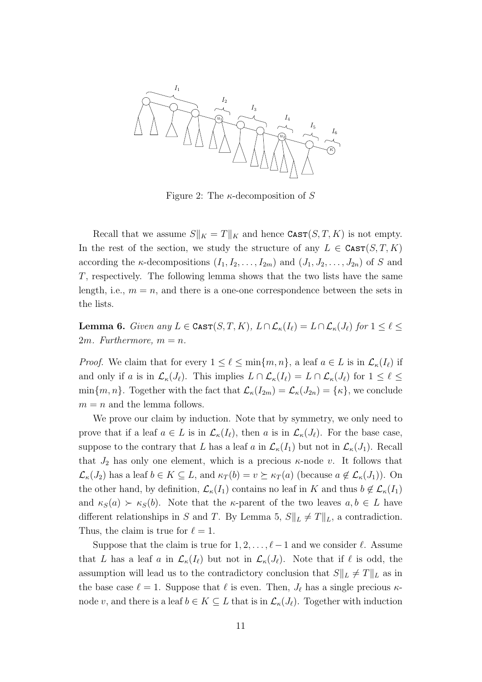

Figure 2: The  $\kappa$ -decomposition of S

Recall that we assume  $S||_K = T||_K$  and hence  $\text{CAST}(S, T, K)$  is not empty. In the rest of the section, we study the structure of any  $L \in \text{CAST}(S, T, K)$ according the  $\kappa$ -decompositions  $(I_1, I_2, \ldots, I_{2m})$  and  $(J_1, J_2, \ldots, J_{2n})$  of S and T, respectively. The following lemma shows that the two lists have the same length, i.e.,  $m = n$ , and there is a one-one correspondence between the sets in the lists.

Lemma 6. Given any  $L \in \text{CAST}(S, T, K)$ ,  $L \cap \mathcal{L}_{\kappa}(I_{\ell}) = L \cap \mathcal{L}_{\kappa}(J_{\ell})$  for  $1 \leq \ell \leq$ 2*m.* Furthermore,  $m = n$ .

*Proof.* We claim that for every  $1 \leq \ell \leq \min\{m, n\}$ , a leaf  $a \in L$  is in  $\mathcal{L}_{\kappa}(I_{\ell})$  if and only if a is in  $\mathcal{L}_{\kappa}(J_{\ell})$ . This implies  $L \cap \mathcal{L}_{\kappa}(I_{\ell}) = L \cap \mathcal{L}_{\kappa}(J_{\ell})$  for  $1 \leq \ell \leq$  $\min\{m, n\}$ . Together with the fact that  $\mathcal{L}_{\kappa}(I_{2m}) = \mathcal{L}_{\kappa}(J_{2n}) = \{\kappa\}$ , we conclude  $m = n$  and the lemma follows.

We prove our claim by induction. Note that by symmetry, we only need to prove that if a leaf  $a \in L$  is in  $\mathcal{L}_{\kappa}(I_{\ell})$ , then a is in  $\mathcal{L}_{\kappa}(J_{\ell})$ . For the base case, suppose to the contrary that L has a leaf a in  $\mathcal{L}_{\kappa}(I_1)$  but not in  $\mathcal{L}_{\kappa}(J_1)$ . Recall that  $J_2$  has only one element, which is a precious  $\kappa$ -node v. It follows that  $\mathcal{L}_{\kappa}(J_2)$  has a leaf  $b \in K \subseteq L$ , and  $\kappa_T(b) = v \succeq \kappa_T(a)$  (because  $a \notin \mathcal{L}_{\kappa}(J_1)$ ). On the other hand, by definition,  $\mathcal{L}_{\kappa}(I_1)$  contains no leaf in K and thus  $b \notin \mathcal{L}_{\kappa}(I_1)$ and  $\kappa_S(a) \succ \kappa_S(b)$ . Note that the  $\kappa$ -parent of the two leaves  $a, b \in L$  have different relationships in S and T. By Lemma 5,  $S||_L \neq T||_L$ , a contradiction. Thus, the claim is true for  $\ell = 1$ .

Suppose that the claim is true for  $1, 2, \ldots, \ell - 1$  and we consider  $\ell$ . Assume that L has a leaf a in  $\mathcal{L}_{\kappa}(I_{\ell})$  but not in  $\mathcal{L}_{\kappa}(J_{\ell})$ . Note that if  $\ell$  is odd, the assumption will lead us to the contradictory conclusion that  $S\|_L \neq T\|_L$  as in the base case  $\ell = 1$ . Suppose that  $\ell$  is even. Then,  $J_{\ell}$  has a single precious  $\kappa$ node v, and there is a leaf  $b \in K \subseteq L$  that is in  $\mathcal{L}_{\kappa}(J_{\ell})$ . Together with induction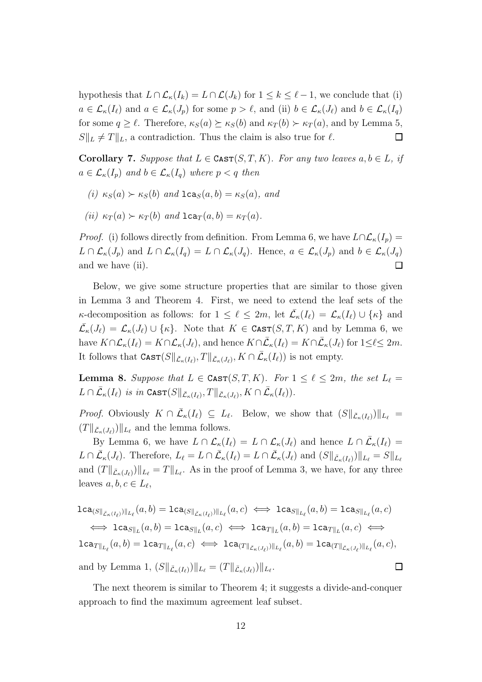hypothesis that  $L \cap \mathcal{L}_{\kappa}(I_k) = L \cap \mathcal{L}(J_k)$  for  $1 \leq k \leq \ell - 1$ , we conclude that (i)  $a \in \mathcal{L}_{\kappa}(I_{\ell})$  and  $a \in \mathcal{L}_{\kappa}(J_p)$  for some  $p > \ell$ , and (ii)  $b \in \mathcal{L}_{\kappa}(J_{\ell})$  and  $b \in \mathcal{L}_{\kappa}(I_q)$ for some  $q \geq \ell$ . Therefore,  $\kappa_S(a) \succeq \kappa_S(b)$  and  $\kappa_T(b) \succ \kappa_T(a)$ , and by Lemma 5,  $S\|_{L} \neq T\|_{L}$ , a contradiction. Thus the claim is also true for  $\ell$ .  $\Box$ 

Corollary 7. Suppose that  $L \in \text{CAST}(S, T, K)$ . For any two leaves  $a, b \in L$ , if  $a \in \mathcal{L}_{\kappa}(I_p)$  and  $b \in \mathcal{L}_{\kappa}(I_q)$  where  $p < q$  then

- (i)  $\kappa_S(a) \succ \kappa_S(b)$  and  $lca_S(a, b) = \kappa_S(a)$ , and
- (ii)  $\kappa_T(a) > \kappa_T(b)$  and  $lca_T(a, b) = \kappa_T(a)$ .

*Proof.* (i) follows directly from definition. From Lemma 6, we have  $L \cap \mathcal{L}_{\kappa}(I_p) =$  $L \cap \mathcal{L}_{\kappa}(J_p)$  and  $L \cap \mathcal{L}_{\kappa}(I_q) = L \cap \mathcal{L}_{\kappa}(J_q)$ . Hence,  $a \in \mathcal{L}_{\kappa}(J_p)$  and  $b \in \mathcal{L}_{\kappa}(J_q)$ and we have (ii).  $\Box$ 

Below, we give some structure properties that are similar to those given in Lemma 3 and Theorem 4. First, we need to extend the leaf sets of the  $\kappa$ -decomposition as follows: for  $1 \leq \ell \leq 2m$ , let  $\bar{\mathcal{L}}_{\kappa}(I_{\ell}) = \mathcal{L}_{\kappa}(I_{\ell}) \cup \{\kappa\}$  and  $\bar{\mathcal{L}}_{\kappa}(J_{\ell}) = \mathcal{L}_{\kappa}(J_{\ell}) \cup \{\kappa\}.$  Note that  $K \in \text{CAST}(S,T,K)$  and by Lemma 6, we have  $K \cap \mathcal{L}_{\kappa}(I_{\ell}) = K \cap \mathcal{L}_{\kappa}(J_{\ell})$ , and hence  $K \cap \bar{\mathcal{L}}_{\kappa}(I_{\ell}) = K \cap \bar{\mathcal{L}}_{\kappa}(J_{\ell})$  for  $1 \leq \ell \leq 2m$ . It follows that  $\text{CAST}(S||_{\bar{\mathcal{L}}_{\kappa}(I_{\ell})}, T||_{\bar{\mathcal{L}}_{\kappa}(J_{\ell})}, K \cap \bar{\mathcal{L}}_{\kappa}(I_{\ell}))$  is not empty.

**Lemma 8.** Suppose that  $L \in \text{CAST}(S, T, K)$ . For  $1 \leq \ell \leq 2m$ , the set  $L_{\ell} =$  $L \cap \overline{\mathcal{L}}_{\kappa}(I_{\ell})$  is in  $\textsf{Cast}(S\Vert_{\overline{\mathcal{L}}_{\kappa}(I_{\ell})}, T\Vert_{\overline{\mathcal{L}}_{\kappa}(J_{\ell})}, K \cap \overline{\mathcal{L}}_{\kappa}(I_{\ell})).$ 

*Proof.* Obviously  $K \cap \overline{\mathcal{L}}_{\kappa}(I_{\ell}) \subseteq L_{\ell}$ . Below, we show that  $(S||_{\overline{\mathcal{L}}_{\kappa}(I_{\ell})})||_{L_{\ell}} =$  $(T\|_{\bar{\mathcal{L}}_{\kappa}(J_{\ell})})\|_{L_{\ell}}$  and the lemma follows.

By Lemma 6, we have  $L \cap \mathcal{L}_{\kappa}(I_{\ell}) = L \cap \mathcal{L}_{\kappa}(J_{\ell})$  and hence  $L \cap \bar{\mathcal{L}}_{\kappa}(I_{\ell}) =$  $L \cap \overline{\mathcal{L}}_{\kappa}(J_{\ell})$ . Therefore,  $L_{\ell} = L \cap \overline{\mathcal{L}}_{\kappa}(I_{\ell}) = L \cap \overline{\mathcal{L}}_{\kappa}(J_{\ell})$  and  $(S||_{\overline{\mathcal{L}}_{\kappa}(I_{\ell})})||_{L_{\ell}} = S||_{L_{\ell}}$ and  $(T\|_{\bar{\mathcal{L}}_{\kappa}(J_{\ell})})\|_{L_{\ell}} = T\|_{L_{\ell}}$ . As in the proof of Lemma 3, we have, for any three leaves  $a, b, c \in L_{\ell}$ ,

$$
\begin{aligned}\n\texttt{lca}_{(S\|_{\bar{\mathcal{L}}_{\kappa}(I_{\ell})})\|_{L_{\ell}}}(a,b) &= \texttt{lca}_{(S\|_{\bar{\mathcal{L}}_{\kappa}(I_{\ell})})\|_{L_{\ell}}}(a,c) \iff \texttt{lca}_{S\|_{L_{\ell}}}(a,b) = \texttt{lca}_{S\|_{L_{\ell}}}(a,c) \\
&\iff \texttt{lca}_{S\|_{L}}(a,b) = \texttt{lca}_{S\|_{L}}(a,c) \iff \texttt{lca}_{T\|_{L}}(a,b) = \texttt{lca}_{T\|_{L}}(a,c) \iff \texttt{lca}_{T\|_{L_{\ell}}}(a,b) = \texttt{lca}_{T\|_{L_{\ell}}}(a,c) \iff \texttt{lca}_{T\|_{\bar{\mathcal{L}}_{\kappa}(J_{\ell})}\|_{L_{\ell}}}(a,b) = \texttt{lca}_{T\|_{\bar{\mathcal{L}}_{\kappa}(J_{\ell})}\|_{L_{\ell}}}(a,c), \\
\text{and by Lemma 1, } (S\|_{\bar{\mathcal{L}}_{\kappa}(I_{\ell})})\|_{L_{\ell}} &= (T\|_{\bar{\mathcal{L}}_{\kappa}(J_{\ell})})\|_{L_{\ell}}.\n\end{aligned}
$$

The next theorem is similar to Theorem 4; it suggests a divide-and-conquer approach to find the maximum agreement leaf subset.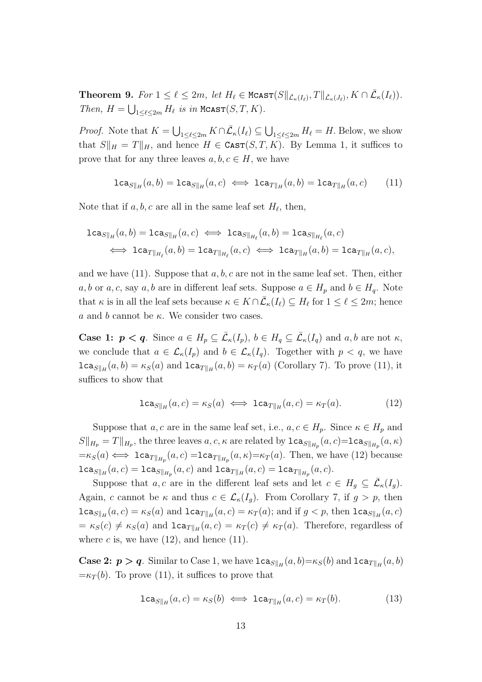**Theorem 9.** For  $1 \leq \ell \leq 2m$ , let  $H_{\ell} \in \text{McAST}(S||_{\bar{\mathcal{L}}_{\kappa}(I_{\ell})}, T||_{\bar{\mathcal{L}}_{\kappa}(J_{\ell})}, K \cap \bar{\mathcal{L}}_{\kappa}(I_{\ell}))$ . Then,  $H = \bigcup_{1 \leq \ell \leq 2m} H_{\ell}$  is in  $M\text{CAST}(S, T, K)$ .

*Proof.* Note that  $K = \bigcup_{1 \leq \ell \leq 2m} K \cap \overline{\mathcal{L}}_{\kappa}(I_{\ell}) \subseteq \bigcup_{1 \leq \ell \leq 2m} H_{\ell} = H$ . Below, we show that  $S||_H = T||_H$ , and hence  $H \in \text{CAST}(S, T, K)$ . By Lemma 1, it suffices to prove that for any three leaves  $a, b, c \in H$ , we have

$$
\mathtt{lca}_{S\parallel_H}(a,b)=\mathtt{lca}_{S\parallel_H}(a,c)\iff \mathtt{lca}_{T\parallel_H}(a,b)=\mathtt{lca}_{T\parallel_H}(a,c)\qquad (11)
$$

Note that if  $a, b, c$  are all in the same leaf set  $H_{\ell}$ , then,

$$
\begin{aligned} \texttt{lca}_{S\parallel_H}(a,b)=\texttt{lca}_{S\parallel_H}(a,c) &\iff \texttt{lca}_{S\parallel_{H_\ell}}(a,b)=\texttt{lca}_{S\parallel_{H_\ell}}(a,c) \\ &\iff \texttt{lca}_{T\parallel_{H_\ell}}(a,b)=\texttt{lca}_{T\parallel_{H_\ell}}(a,c) &\iff \texttt{lca}_{T\parallel_H}(a,b)=\texttt{lca}_{T\parallel_H}(a,c), \end{aligned}
$$

and we have  $(11)$ . Suppose that  $a, b, c$  are not in the same leaf set. Then, either a, b or a, c, say a, b are in different leaf sets. Suppose  $a \in H_p$  and  $b \in H_q$ . Note that  $\kappa$  is in all the leaf sets because  $\kappa \in K \cap \overline{\mathcal{L}}_{\kappa}(I_{\ell}) \subseteq H_{\ell}$  for  $1 \leq \ell \leq 2m$ ; hence a and b cannot be  $\kappa$ . We consider two cases.

**Case 1:**  $p < q$ . Since  $a \in H_p \subseteq \overline{\mathcal{L}}_{\kappa}(I_p)$ ,  $b \in H_q \subseteq \overline{\mathcal{L}}_{\kappa}(I_q)$  and  $a, b$  are not  $\kappa$ , we conclude that  $a \in \mathcal{L}_{\kappa}(I_p)$  and  $b \in \mathcal{L}_{\kappa}(I_q)$ . Together with  $p < q$ , we have  $lca_{S||_H}(a, b) = \kappa_S(a)$  and  $lca_{T||_H}(a, b) = \kappa_T(a)$  (Corollary 7). To prove (11), it suffices to show that

$$
\text{lca}_{S||_H}(a,c) = \kappa_S(a) \iff \text{lca}_{T||_H}(a,c) = \kappa_T(a). \tag{12}
$$

Suppose that a, c are in the same leaf set, i.e.,  $a, c \in H_p$ . Since  $\kappa \in H_p$  and  $S||_{H_p} = T||_{H_p}$ , the three leaves  $a, c, \kappa$  are related by  $lca_{S||_{H_p}}(a, c) = lca_{S||_{H_p}}(a, \kappa)$  $=\kappa_S(a) \iff \texttt{lca}_{T\|_{H_p}}(a,c) = \texttt{lca}_{T\|_{H_p}}(a,\kappa) = \kappa_T(a)$ . Then, we have (12) because  $lca_{S\Vert H}(a,c) = 1ca_{S\Vert_{H_p}}(a,c)$  and  $lca_{T\Vert_H}(a,c) = 1ca_{T\Vert_{H_p}}(a,c)$ .

Suppose that a, c are in the different leaf sets and let  $c \in H_g \subseteq \overline{\mathcal{L}}_{\kappa}(I_g)$ . Again, c cannot be  $\kappa$  and thus  $c \in \mathcal{L}_{\kappa}(I_q)$ . From Corollary 7, if  $g > p$ , then  $lca_{S||_H}(a,c) = \kappa_S(a)$  and  $lca_{T||_H}(a,c) = \kappa_T(a)$ ; and if  $g < p$ , then  $lca_{S||_H}(a,c)$  $= \kappa_S(c) \neq \kappa_S(a)$  and  $lca_{T||_H}(a, c) = \kappa_T(c) \neq \kappa_T(a)$ . Therefore, regardless of where c is, we have  $(12)$ , and hence  $(11)$ .

**Case 2:**  $p > q$ . Similar to Case 1, we have  $lca_{S||H}(a, b) = \kappa_S(b)$  and  $lca_{T||H}(a, b)$  $=\kappa_T(b)$ . To prove (11), it suffices to prove that

$$
\text{lca}_{S||_H}(a,c) = \kappa_S(b) \iff \text{lca}_{T||_H}(a,c) = \kappa_T(b). \tag{13}
$$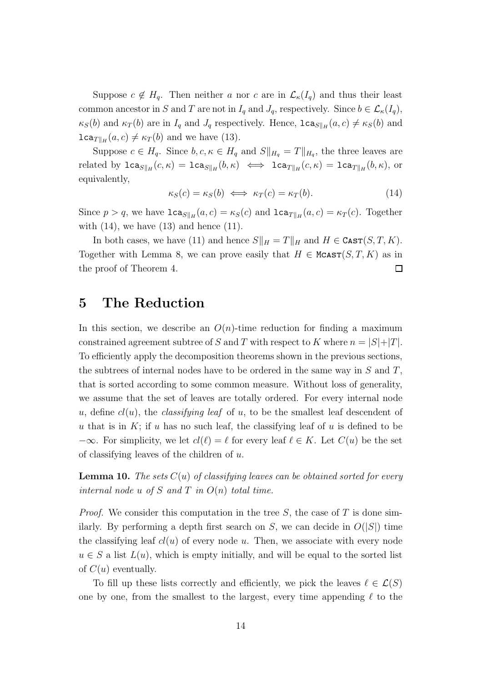Suppose  $c \notin H_q$ . Then neither a nor c are in  $\mathcal{L}_{\kappa}(I_q)$  and thus their least common ancestor in S and T are not in  $I_q$  and  $J_q$ , respectively. Since  $b \in \mathcal{L}_{\kappa}(I_q)$ ,  $\kappa_S(b)$  and  $\kappa_T(b)$  are in  $I_q$  and  $J_q$  respectively. Hence,  $lca_{S||_H}(a, c) \neq \kappa_S(b)$  and  $lca_{T\|_H}(a, c) \neq \kappa_T(b)$  and we have (13).

Suppose  $c \in H_q$ . Since  $b, c, \kappa \in H_q$  and  $S||_{H_q} = T||_{H_q}$ , the three leaves are related by  $lca_{S||_H}(c, \kappa) = lca_{S||_H}(b, \kappa) \iff lca_{T||_H}(c, \kappa) = lca_{T||_H}(b, \kappa)$ , or equivalently,

$$
\kappa_S(c) = \kappa_S(b) \iff \kappa_T(c) = \kappa_T(b). \tag{14}
$$

Since  $p > q$ , we have  $lca_{S||H}(a, c) = \kappa_S(c)$  and  $lca_{T||H}(a, c) = \kappa_T(c)$ . Together with  $(14)$ , we have  $(13)$  and hence  $(11)$ .

In both cases, we have (11) and hence  $S||_H = T||_H$  and  $H \in \text{CAST}(S, T, K)$ . Together with Lemma 8, we can prove easily that  $H \in \text{McAST}(S, T, K)$  as in the proof of Theorem 4.  $\Box$ 

#### 5 The Reduction

In this section, we describe an  $O(n)$ -time reduction for finding a maximum constrained agreement subtree of S and T with respect to K where  $n = |S|+|T|$ . To efficiently apply the decomposition theorems shown in the previous sections, the subtrees of internal nodes have to be ordered in the same way in  $S$  and  $T$ , that is sorted according to some common measure. Without loss of generality, we assume that the set of leaves are totally ordered. For every internal node u, define  $cl(u)$ , the *classifying leaf* of u, to be the smallest leaf descendent of u that is in  $K$ ; if u has no such leaf, the classifying leaf of u is defined to be  $-\infty$ . For simplicity, we let  $cl(\ell) = \ell$  for every leaf  $\ell \in K$ . Let  $C(u)$  be the set of classifying leaves of the children of  $u$ .

**Lemma 10.** The sets  $C(u)$  of classifying leaves can be obtained sorted for every internal node u of S and T in  $O(n)$  total time.

*Proof.* We consider this computation in the tree  $S$ , the case of  $T$  is done similarly. By performing a depth first search on S, we can decide in  $O(|S|)$  time the classifying leaf  $cl(u)$  of every node u. Then, we associate with every node  $u \in S$  a list  $L(u)$ , which is empty initially, and will be equal to the sorted list of  $C(u)$  eventually.

To fill up these lists correctly and efficiently, we pick the leaves  $\ell \in \mathcal{L}(S)$ one by one, from the smallest to the largest, every time appending  $\ell$  to the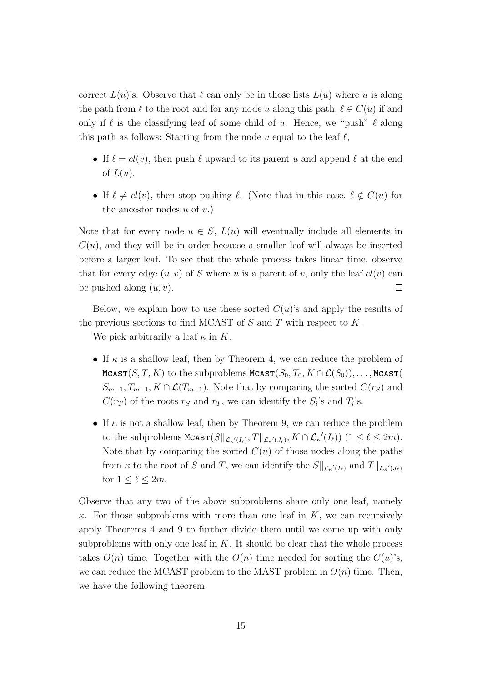correct  $L(u)$ 's. Observe that  $\ell$  can only be in those lists  $L(u)$  where u is along the path from  $\ell$  to the root and for any node u along this path,  $\ell \in C(u)$  if and only if  $\ell$  is the classifying leaf of some child of u. Hence, we "push"  $\ell$  along this path as follows: Starting from the node v equal to the leaf  $\ell$ ,

- If  $\ell = cl(v)$ , then push  $\ell$  upward to its parent u and append  $\ell$  at the end of  $L(u)$ .
- If  $\ell \neq cl(v)$ , then stop pushing  $\ell$ . (Note that in this case,  $\ell \notin C(u)$  for the ancestor nodes  $u$  of  $v$ .)

Note that for every node  $u \in S$ ,  $L(u)$  will eventually include all elements in  $C(u)$ , and they will be in order because a smaller leaf will always be inserted before a larger leaf. To see that the whole process takes linear time, observe that for every edge  $(u, v)$  of S where u is a parent of v, only the leaf  $cl(v)$  can be pushed along  $(u, v)$ .  $\Box$ 

Below, we explain how to use these sorted  $C(u)$ 's and apply the results of the previous sections to find MCAST of  $S$  and  $T$  with respect to  $K$ .

We pick arbitrarily a leaf  $\kappa$  in K.

- If  $\kappa$  is a shallow leaf, then by Theorem 4, we can reduce the problem of MCAST $(S, T, K)$  to the subproblems MCAST $(S_0, T_0, K \cap \mathcal{L}(S_0)), \ldots$ , MCAST(  $S_{m-1}, T_{m-1}, K \cap \mathcal{L}(T_{m-1})$ . Note that by comparing the sorted  $C(r_S)$  and  $C(r_T)$  of the roots  $r_S$  and  $r_T$ , we can identify the  $S_i$ 's and  $T_i$ 's.
- If  $\kappa$  is not a shallow leaf, then by Theorem 9, we can reduce the problem to the subproblems  $\texttt{Mcast}(S \|_{\mathcal{L}_{\kappa'}(I_{\ell})}, T \|_{\mathcal{L}_{\kappa'}(J_{\ell})}, K \cap \mathcal{L}_{\kappa'}(I_{\ell}))$   $(1 \leq \ell \leq 2m)$ . Note that by comparing the sorted  $C(u)$  of those nodes along the paths from  $\kappa$  to the root of S and T, we can identify the  $S\|_{\mathcal{L}_{\kappa'}(I_{\ell})}$  and  $T\|_{\mathcal{L}_{\kappa'}(J_{\ell})}$ for  $1 \leq \ell \leq 2m$ .

Observe that any two of the above subproblems share only one leaf, namely  $\kappa$ . For those subproblems with more than one leaf in K, we can recursively apply Theorems 4 and 9 to further divide them until we come up with only subproblems with only one leaf in  $K$ . It should be clear that the whole process takes  $O(n)$  time. Together with the  $O(n)$  time needed for sorting the  $C(u)$ 's, we can reduce the MCAST problem to the MAST problem in  $O(n)$  time. Then, we have the following theorem.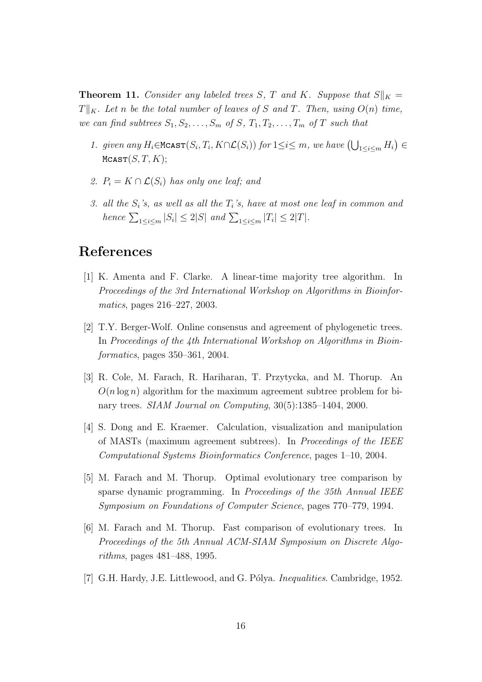**Theorem 11.** Consider any labeled trees S, T and K. Suppose that  $S||_K =$  $T\|_K$ . Let n be the total number of leaves of S and T. Then, using  $O(n)$  time, we can find subtrees  $S_1, S_2, \ldots, S_m$  of S,  $T_1, T_2, \ldots, T_m$  of T such that

- 1. given any  $H_i \in \text{McAST}(S_i, T_i, K \cap \mathcal{L}(S_i))$  for  $1 \leq i \leq m$ , we have  $(\bigcup_{1 \leq i \leq m} H_i) \in$  $M$ CAST $(S, T, K);$
- 2.  $P_i = K \cap \mathcal{L}(S_i)$  has only one leaf; and
- 3. all the  $S_i$ 's, as well as all the  $T_i$ 's, have at most one leaf in common and hence  $\sum_{1 \leq i \leq m} |S_i| \leq 2|S|$  and  $\sum_{1 \leq i \leq m} |T_i| \leq 2|T|$ .

# References

- [1] K. Amenta and F. Clarke. A linear-time majority tree algorithm. In Proceedings of the 3rd International Workshop on Algorithms in Bioinformatics, pages 216–227, 2003.
- [2] T.Y. Berger-Wolf. Online consensus and agreement of phylogenetic trees. In Proceedings of the 4th International Workshop on Algorithms in Bioinformatics, pages 350–361, 2004.
- [3] R. Cole, M. Farach, R. Hariharan, T. Przytycka, and M. Thorup. An  $O(n \log n)$  algorithm for the maximum agreement subtree problem for binary trees. *SIAM Journal on Computing*, 30(5):1385–1404, 2000.
- [4] S. Dong and E. Kraemer. Calculation, visualization and manipulation of MASTs (maximum agreement subtrees). In Proceedings of the IEEE Computational Systems Bioinformatics Conference, pages 1–10, 2004.
- [5] M. Farach and M. Thorup. Optimal evolutionary tree comparison by sparse dynamic programming. In Proceedings of the 35th Annual IEEE Symposium on Foundations of Computer Science, pages 770–779, 1994.
- [6] M. Farach and M. Thorup. Fast comparison of evolutionary trees. In Proceedings of the 5th Annual ACM-SIAM Symposium on Discrete Algorithms, pages 481–488, 1995.
- [7] G.H. Hardy, J.E. Littlewood, and G. Pólya. *Inequalities.* Cambridge, 1952.